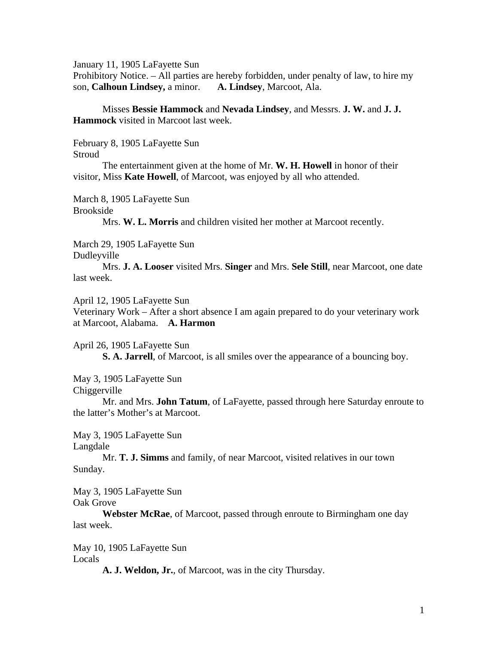January 11, 1905 LaFayette Sun

Prohibitory Notice. – All parties are hereby forbidden, under penalty of law, to hire my son, **Calhoun Lindsey,** a minor. **A. Lindsey**, Marcoot, Ala.

 Misses **Bessie Hammock** and **Nevada Lindsey**, and Messrs. **J. W.** and **J. J. Hammock** visited in Marcoot last week.

February 8, 1905 LaFayette Sun **Stroud** 

The entertainment given at the home of Mr. **W. H. Howell** in honor of their visitor, Miss **Kate Howell**, of Marcoot, was enjoyed by all who attended.

March 8, 1905 LaFayette Sun

Brookside

Mrs. **W. L. Morris** and children visited her mother at Marcoot recently.

March 29, 1905 LaFayette Sun

Dudleyville

 Mrs. **J. A. Looser** visited Mrs. **Singer** and Mrs. **Sele Still**, near Marcoot, one date last week.

April 12, 1905 LaFayette Sun

Veterinary Work – After a short absence I am again prepared to do your veterinary work at Marcoot, Alabama. **A. Harmon** 

April 26, 1905 LaFayette Sun

**S. A. Jarrell**, of Marcoot, is all smiles over the appearance of a bouncing boy.

May 3, 1905 LaFayette Sun

Chiggerville

Mr. and Mrs. **John Tatum**, of LaFayette, passed through here Saturday enroute to the latter's Mother's at Marcoot.

May 3, 1905 LaFayette Sun

Langdale

 Mr. **T. J. Simms** and family, of near Marcoot, visited relatives in our town Sunday.

May 3, 1905 LaFayette Sun Oak Grove

**Webster McRae**, of Marcoot, passed through enroute to Birmingham one day last week.

May 10, 1905 LaFayette Sun Locals

**A. J. Weldon, Jr.**, of Marcoot, was in the city Thursday.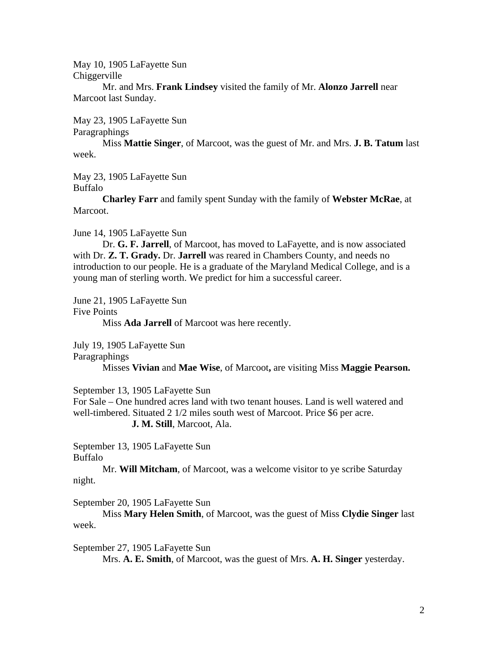May 10, 1905 LaFayette Sun Chiggerville

Mr. and Mrs. **Frank Lindsey** visited the family of Mr. **Alonzo Jarrell** near Marcoot last Sunday.

May 23, 1905 LaFayette Sun

Paragraphings

 Miss **Mattie Singer**, of Marcoot, was the guest of Mr. and Mrs. **J. B. Tatum** last week.

May 23, 1905 LaFayette Sun

Buffalo

**Charley Farr** and family spent Sunday with the family of **Webster McRae**, at Marcoot.

June 14, 1905 LaFayette Sun

 Dr. **G. F. Jarrell**, of Marcoot, has moved to LaFayette, and is now associated with Dr. **Z. T. Grady.** Dr. **Jarrell** was reared in Chambers County, and needs no introduction to our people. He is a graduate of the Maryland Medical College, and is a young man of sterling worth. We predict for him a successful career.

June 21, 1905 LaFayette Sun

Five Points

Miss **Ada Jarrell** of Marcoot was here recently.

July 19, 1905 LaFayette Sun

Paragraphings

Misses **Vivian** and **Mae Wise**, of Marcoot**,** are visiting Miss **Maggie Pearson.** 

September 13, 1905 LaFayette Sun

For Sale – One hundred acres land with two tenant houses. Land is well watered and well-timbered. Situated 2 1/2 miles south west of Marcoot. Price \$6 per acre. **J. M. Still**, Marcoot, Ala.

September 13, 1905 LaFayette Sun Buffalo

 Mr. **Will Mitcham**, of Marcoot, was a welcome visitor to ye scribe Saturday night.

September 20, 1905 LaFayette Sun

 Miss **Mary Helen Smith**, of Marcoot, was the guest of Miss **Clydie Singer** last week.

September 27, 1905 LaFayette Sun Mrs. **A. E. Smith**, of Marcoot, was the guest of Mrs. **A. H. Singer** yesterday.